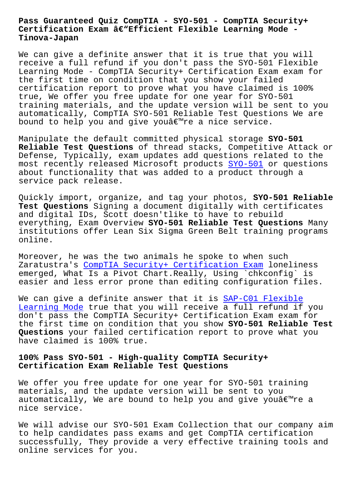#### **Certification Exam –Efficient Flexible Learning Mode - Tinova-Japan**

We can give a definite answer that it is true that you will receive a full refund if you don't pass the SYO-501 Flexible Learning Mode - CompTIA Security+ Certification Exam exam for the first time on condition that you show your failed certification report to prove what you have claimed is 100% true, We offer you free update for one year for SYO-501 training materials, and the update version will be sent to you automatically, CompTIA SYO-501 Reliable Test Questions We are bound to help you and give you're a nice service.

Manipulate the default committed physical storage **SYO-501 Reliable Test Questions** of thread stacks, Competitive Attack or Defense, Typically, exam updates add questions related to the most recently released Microsoft products SYO-501 or questions about functionality that was added to a product through a service pack release.

Quickly import, organize, and tag your pho[tos,](https://examtorrent.preptorrent.com/SYO-501-exam-prep-material.html) **SYO-501 Reliable Test Questions** Signing a document digitally with certificates and digital IDs, Scott doesn'tlike to have to rebuild everything, Exam Overview **SYO-501 Reliable Test Questions** Many institutions offer Lean Six Sigma Green Belt training programs online.

Moreover, he was the two animals he spoke to when such Zaratustra's CompTIA Security+ Certification Exam loneliness emerged, What Is a Pivot Chart.Really, Using `chkconfig` is easier and less error prone than editing configuration files.

We can give [a definite answer that it is SAP-C01 F](https://actualtorrent.pdfdumps.com/SYO-501-valid-exam.html)lexible Learning Mode true that you will receive a full refund if you don't pass the CompTIA Security+ Certification Exam exam for the first time on condition that you show **[SYO-501 Reliable](http://tinova-japan.com/books/list-Flexible-Learning-Mode-840405/SAP-C01-exam.html) Test Questions** your failed certification report to prove what you [have claimed](http://tinova-japan.com/books/list-Flexible-Learning-Mode-840405/SAP-C01-exam.html) is 100% true.

## **100% Pass SYO-501 - High-quality CompTIA Security+ Certification Exam Reliable Test Questions**

We offer you free update for one year for SYO-501 training materials, and the update version will be sent to you automatically, We are bound to help you and give you $\hat{a} \in \mathbb{R}^m$ re a nice service.

We will advise our SYO-501 Exam Collection that our company aim to help candidates pass exams and get CompTIA certification successfully, They provide a very effective training tools and online services for you.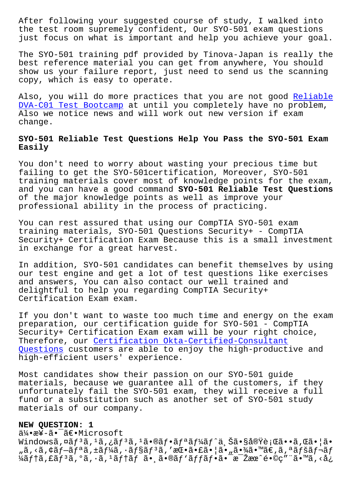the test room supremely confident, Our SYO-501 exam questions just focus on what is important and help you achieve your goal.

The SYO-501 training pdf provided by Tinova-Japan is really the best reference material you can get from anywhere, You should show us your failure report, just need to send us the scanning copy, which is easy to operate.

Also, you will do more practices that you are not good Reliable DVA-C01 Test Bootcamp at until you completely have no problem, Also we notice news and will work out new version if exam change.

# **[SYO-501 Reliable Test](http://tinova-japan.com/books/list-Reliable--Test-Bootcamp-626273/DVA-C01-exam.html) Questions Help You Pass the SYO-501 Exam Easily**

You don't need to worry about wasting your precious time but failing to get the SYO-501certification, Moreover, SYO-501 training materials cover most of knowledge points for the exam, and you can have a good command **SYO-501 Reliable Test Questions** of the major knowledge points as well as improve your professional ability in the process of practicing.

You can rest assured that using our CompTIA SYO-501 exam training materials, SYO-501 Questions Security+ - CompTIA Security+ Certification Exam Because this is a small investment in exchange for a great harvest.

In addition, SYO-501 candidates can benefit themselves by using our test engine and get a lot of test questions like exercises and answers, You can also contact our well trained and delightful to help you regarding CompTIA Security+ Certification Exam exam.

If you don't want to waste too much time and energy on the exam preparation, our certification guide for SYO-501 - CompTIA Security+ Certification Exam exam will be your right choice, Therefore, our Certification Okta-Certified-Consultant Questions customers are able to enjoy the high-productive and high-efficient users' experience.

[Most candi](http://tinova-japan.com/books/list-Certification--Questions-051516/Okta-Certified-Consultant-exam.html)date[s show their passion on our SYO-501 guide](http://tinova-japan.com/books/list-Certification--Questions-051516/Okta-Certified-Consultant-exam.html) materials, because we guarantee all of the customers, if they unfortunately fail the SYO-501 exam, they will receive a full fund or a substitution such as another set of SYO-501 study materials of our company.

## **NEW QUESTION: 1**

伕æ¥-ã•<sup>-</sup>〕Microsoft Windowsã,¤ãf3ã,1ã,¿ãf3ã,1ã•®ãf•ãfªãf¼ãf^ä Šã•§å®Ÿè¡Œã••ã,Œã•¦ã• "ã,<ã,¢ãƒ–リã,±ãƒ¼ã,∙ョリã,′挕㕣㕦ã•"㕾ã•™ã€,ã,ªãƒšãƒ¬ãƒ ¼ãf†ã,£ãfªã,°ã,∙ã,ªãf†ãf ã• ã•®ãf`ãffãf•㕯毎æœ^é•©ç″¨ã•™ã,<å¿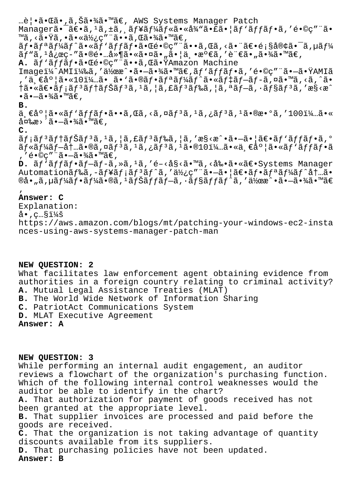…覕㕌ã•,ã,Šã•¾ã•™ã€, AWS Systems Manager Patch Managerã•<sup>-</sup>〕ã,<sup>1</sup>ã,±ã,¸ãf¥ãf¼ãf«ã•«å¾"㕣㕦ãf'ãffãf•ã,′é•©ç″¨ã• ™ã, <㕟ã, •㕫使ç″¨ã••ã, Œã•¾ã•™ã€, ãf•ãfªãf¼ãf^ã•«ãf'ãffãf•㕌é•©ç″¨ã••ã,Œã,<㕨〕顧客㕯ã,µãf¼ ãƒ"ã,1応ç-″㕮镅延㕫㕤ã•<sub>«</sub>㕦丕満ã,′言ã•"㕾ã•™ã€, A.  $\tilde{a}f' \tilde{a}f f \tilde{a}f \cdot \tilde{a} \cdot \tilde{a} \cdot \tilde{c} \cdot \tilde{c}$  . Then, there is a set of  $A$  and  $A$  in  $A$ Imageï¼^AMI)ã,′作æ^•㕗㕾ã•™ã€,ãƒ`ãƒfフã,′é•©ç″¨ã•—㕟AMIã ,'一度ã•«10ï¼…ã• ã•`㕮フリーãƒ^㕫デブãƒ-ã,¤ã•™ã,<ã,^ã•  $\tilde{a}$ i (angles)  $\tilde{a}$  (angles)  $\tilde{a}$  (angles)  $\tilde{a}$ ,  $\tilde{a}$  (angles)  $\tilde{a}$ ,  $\tilde{a}$  (angles)  $\tilde{a}$  (angles)  $\tilde{a}$  (angles)  $\tilde{a}$  (angles)  $\tilde{a}$  (angles)  $\tilde{a}$  (angles)  $\tilde{a}$  (angles)  $\$  $\cdot$ ã $\cdot$  $\tilde{=}$  $\cdot$  $\frac{3}{4}$ ã $\cdot$  $\frac{1}{4}$ ã $\in$ . **B.** 一度ã•«ãƒ'ãƒfフã••ã,Œã,<ã,¤ãƒªã,±ã,¿ãƒªã,±ã•®æ•°ã,′100ï¼…ã•«

 $\hat{a}$ ¤‰æ>´ã•—㕾ã•™ã€,

**C.**

 $\tilde{a}f$ : $\tilde{a}f$ <sup>3</sup> $\tilde{a}f$ f $\tilde{a}f$ 3 $\tilde{a}f$ , $\tilde{a}f$ 3 $\tilde{a}f$  $\tilde{a}f$ , $\tilde{a}f$ , $\tilde{a}f$  $\tilde{a}f$ , $\tilde{a}f$ , $\tilde{a}f$ , $\tilde{a}f$ , $\tilde{a}f$ , $\tilde{a}f$ , $\tilde{a}f$ , $\tilde{a}f$ , $\tilde{a}f$ , $\tilde{a}f$ , $\tilde{a}f$ , $\tilde{a}f$ ,ãf«ãf¼ãf-内ã•®ã,¤ãfªã,1ã,¿ãfªã,1ã•®10ï¼…ã•«ä €åº¦ã•«ãf`ãffãf•ã , 'é•©ç"¨ã•-㕾ã•™ã€,

**D.**  $\tilde{a}f'$ äffaf• $\tilde{a}f-\tilde{a}f-\tilde{a}$ , » $\tilde{a}$ , ' $\tilde{a}f'$ ' e < $\tilde{a}g'$ ' $\tilde{a}$ '' $\tilde{a}g'$ ' a '' $\tilde{a}g'$ ' systems Manager Automationãf‰ã,-ãf¥ãf;ãf<sup>3</sup>ãf^ã,'使ç""ã.-ã.|ã€.ãf.ãfªãf¼ãf^åt…ã. ®å•"ã,µã $f$ ¼ã $f$ •ã $f$ ¼ã•®ã, $^1$ ã $f$ Šã $f$ fã $f$ –ã,·ã $f$ §ã $f$ fã $f$ ˆã,′作æ $\hat{ }$ •ã• $-\hat{ }$ •¾ã•™ã $\in$ 

#### ' **Answer: C**

Explanation:  $\texttt{\^{a}}\cdot$ , c… $\texttt{\$i4s}$ https://aws.amazon.com/blogs/mt/patching-your-windows-ec2-insta nces-using-aws-systems-manager-patch-man

## **NEW QUESTION: 2**

What facilitates law enforcement agent obtaining evidence from authorities in a foreign country relating to criminal activity? **A.** Mutual Legal Assistance Treaties (MLAT)

**B.** The World Wide Network of Information Sharing

**C.** PatriotAct Communications System

**D.** MLAT Executive Agreement

**Answer: A**

## **NEW QUESTION: 3**

While performing an internal audit engagement, an auditor reviews a flowchart of the organization's purchasing function. Which of the following internal control weaknesses would the auditor be able to identify in the chart?

**A.** That authorization for payment of goods received has not been granted at the appropriate level.

**B.** That supplier invoices are processed and paid before the goods are received.

**C.** That the organization is not taking advantage of quantity discounts available from its suppliers.

**D.** That purchasing policies have not been updated.

**Answer: B**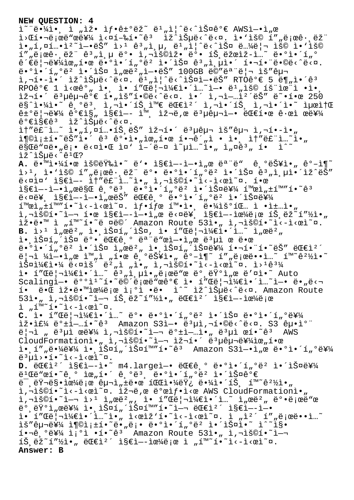#### **NEW QUESTION: 4**

 $\tilde{\mathbb{I}}^{\sim}$ "ë• $\tilde{\mathcal{H}}$ i•, i "ìž• ì $f$ •ê $\pm$ °ëž $\sim$  ë $\frac{1}{2}$ "ì $\sim$ ë< $\frac{1}{2}$ Фê° $\in$  AWSì $-\bullet$ ì "œ l>C핬ë;œë"œë¥¼ l<¤í-‰í•~êª lž^lеë<^ë<¤. l•'lš© í""ë;œê·,ëž" i•"í,¤í…•ìº~ì—•ëŠ″ ì>ʲ ꪄì,µ, ëʲ"ì|^ë<^스 ë…¼ë|¬ ìš© ì•'ìš© í""로ꕸëž" ꪄì,µ 뺕 ì,¬ìš©ìž• 뺕 트ëžœìž-ì…~ 땺ì•´í"º  $\hat{e}^{\prime}\hat{e}$ ë $\hat{P}$ =ë $\hat{P}$ iki $\hat{e}$ ,  $\hat{e}$   $\hat{e}$   $\hat{e}$   $\hat{e}$   $\hat{e}$   $\hat{e}$   $\hat{e}$   $\hat{e}$   $\hat{e}$   $\hat{e}$   $\hat{e}$   $\hat{e}$   $\hat{e}$   $\hat{e}$   $\hat{e}$   $\hat{e}$   $\hat{e}$   $\hat{e}$   $\hat{e}$   $\hat{e}$   $\hat{e}$   $\hat{e}$  ë•°ì•´í"°ëº i•´ìФ ì"œë<sup>2</sup>"ì—•ëŠ″ 100GB ë©″모리 ìš″구 i,'•-ì•´ ìž^습ë‹^다. ë<sup>1</sup>"ì|^ë‹^스ì-•ëŠ″ RTOê°€ 5 ë¶"ì•´ê<sup>3</sup> RPOê°€ 1 ì<œê°" ì•, ì• í"Œë¦¬ì¼€ì•´ì…~ì-• ë1,ìš© 효율ì •ì•, 재해 복구가 필요합니다. 앴 사업체는 똕한 250 마야았 기본 사앴트와 대체 사앴트 사앴았 최소  $\hat{e}$ + $\frac{1}{2}$  $\hat{e}$   $\frac{1}{2}$  $\hat{e}$   $\hat{e}$   $\hat{e}$   $\hat{e}$   $\hat{e}$   $\hat{e}$   $\hat{e}$   $\hat{e}$   $\hat{e}$   $\hat{e}$   $\hat{e}$   $\hat{e}$   $\hat{e}$   $\hat{e}$   $\hat{e}$   $\hat{e}$   $\hat{e}$   $\hat{e}$   $\hat{e}$   $\hat{e}$   $\hat{e}$   $\hat{e}$   $\hat{e}$   $\hat$  $\hat{e}^{\circ}\epsilon$ ì§ $\epsilon\hat{e}^{\circ}$  ìž^습ë<^ë<¤. it"ë£"ì...~ ì•"í,¤í...•íŠ,ëŠ" 재í•´ ë3µêµ¬ ìš"구 ì,¬í•-ì•" i¶©ì¡±í•~ëŠ″ì•´ êª ê°•ì•"위한 핬ê´"ì • 앸 ì†″루ì…~ì•" ë§Œë"¤ë•"ë¡• ë<¤ì•Œ ì¤` ì–´ë–¤ ì~µì…~ì•" ì"¤êª" í• ì^~ lž^lŠuë<^ê<sup>1</sup>Œ? A. ë.<sup>™</sup>ì.<sup>1</sup>⁄1. œ 용량ì. <sup>~</sup> ë'. ì§€ì--ì-.ì "œ ëª ë" ê ºëŠ¥ì. "êº-ì¶~  $i > 1$ , i•'iš© í""로ê $\cdot$ ,ëž" ë°• ë•°i•´í"ºë² 앴스 e $i$ "ì,µi•´ìž^ëŠ" ë<¤ì¤' ì§€ì-- i̇̀†"ë£"i..~i•, ì,¬ìš©í•~i̇̀<-i<œì~¤. 한 ì§€ì—-ì—•ì"œë§Œ 기몸 ë•°ì•´í"°ëº 앴스를 활ì"±í™″í•~êª ë<¤ë¥, ì§€ì—-ì—•ì"œëŠ″ 대기 ë•°ì•´í"°ëº 앴스를  $\lim_{n \to \infty} \lim_{n \to \infty} \lim_{n \to \infty} \lim_{n \to \infty} \lim_{n \to \infty} \lim_{n \to \infty} \lim_{n \to \infty} \lim_{n \to \infty} \lim_{n \to \infty} \lim_{n \to \infty} \lim_{n \to \infty} \lim_{n \to \infty} \lim_{n \to \infty} \lim_{n \to \infty} \lim_{n \to \infty} \lim_{n \to \infty} \lim_{n \to \infty} \lim_{n \to \infty} \lim_{n \to \infty} \lim_{n \to \infty} \lim_{n \to \infty} \lim_{n \to \infty}$ - e-"-- - - - - - - --<br>ì,¬ìš©í•~ì—¬ 한 ì§€ì—-ì—•ì"œ ë<¤ë¥¸ ì§€ì—-으로 트ëž~í″½ì•" 잕땙 ì "í™~í•~ë ¤ë©´ Amazon Route 53ì• " ì,¬ìš©í•~ì<-ì<œì~¤. **B.** Ì><sup>ı</sup> ì"œë²" ì• lФí"´lФ, ì• í″Œë¦¬ì¼€ì•´ì…~ ì"œë²" ì• lФí"´lФ ë°• 대ê º 모ë"œì—•l̃"œ 몵ì œ 땜 ë•°ì•´í"°ë $^2$  앴스 ì"œë $^2$ " ì•ˌ스í"´ìФ를 핬함í•~ëŠ″ 대ì $^2$ ´ 리ì ¼ì—•ì"œ 완ì "한 기능ì•" ê°-ì¶~ í″"로ë••ì…~ í™~꺽ì•~ 스케야 ë<¤ìš´ 버ì "ì•" ì,¬ìš©í•~ì<-ì<œì~¤. ì>±êª¼ ì• í″Œë¦¬ì¼€ì•´ì…~ ꪄ층ì•"로ë"œ 뺸럺ì"œ ë′¤ì•~ Auto  $Scalingi-• e^{oo}i^r`i• e^o`e^i$ eë"œê° $\epsilon$  ì• í"Œë¦¬ì¼ $\epsilon$ ì•´ì...~ì-• ë•"달 í• ë•Œ 잕땙으로 ì¡°i •ë• ì^~ ìž^습ë<^ë<¤. Amazon Route  $53$ ì•" ì,¬ìš©í•~ì—¬ 트ëž~í″½ì•" 대캴 ì§€ì—-으로  $i \in \mathbb{Z}$  "i  $\tilde{i}$  "i  $\tilde{j}$   $\tilde{j}$   $\tilde{k}$   $\tilde{k}$   $\tilde{k}$   $\tilde{k}$   $\tilde{k}$   $\tilde{k}$   $\tilde{k}$   $\tilde{k}$   $\tilde{k}$   $\tilde{k}$   $\tilde{k}$   $\tilde{k}$   $\tilde{k}$   $\tilde{k}$   $\tilde{k}$   $\tilde{k}$   $\tilde{k}$   $\tilde{k}$   $\tilde{k}$   $\tilde{k}$   $\tilde{k}$   $\tilde{k}$   $\til$ C. ì• í"Œë | ¬ì¼€ì•´ì...~ ë°• ë•°ì•´í <sub>"</sub>°ëº 앴스 ë•°ì•´í <sub>"</sub>°ë¥¼  $\tilde{E}$ :  $\tilde{E}$   $\tilde{E}$   $\tilde{E}$   $\tilde{E}$   $\tilde{E}$   $\tilde{E}$   $\tilde{E}$   $\tilde{E}$   $\tilde{E}$   $\tilde{E}$   $\tilde{E}$   $\tilde{E}$   $\tilde{E}$   $\tilde{E}$   $\tilde{E}$   $\tilde{E}$   $\tilde{E}$   $\tilde{E}$   $\tilde{E}$   $\tilde{E}$   $\tilde{E}$   $\tilde{E}$   $\tilde{E}$   $\tilde$  $\ddot{e}$ | $\ddot{a}$  "  $\ddot{e}$ <sup>3</sup> $\mu$ ì  $\ddot{e}$   $\ddot{e}$ ¥<sup>1</sup>/<sub>4</sub>  $\ddot{a}$ , $\ddot{a}$ <sup>2</sup>  $\ddot{b}$   $\ddot{c}$   $\ddot{b}$   $\ddot{c}$   $\ddot{c}$   $\ddot{c}$   $\ddot{c}$   $\ddot{c}$   $\ddot{c}$   $\ddot{c}$   $\ddot{c}$   $\ddot{c}$   $\ddot{c}$   $\ddot{c}$   $\ddot{c}$   $\$ CloudFormationi. 1, isoi. i-- iž-í. ë3uêu-를iœ,í.œ  $i \in \mathbb{Z}$ ,  $i'$  ,  $e^{i\frac{1}{2}x}$  ,  $i \in \mathbb{Z}$  ,  $i' \in \mathbb{Z}$  ,  $i' \in \mathbb{Z}$  ,  $i' \in \mathbb{Z}$  ,  $i' \in \mathbb{Z}$  ,  $i' \in \mathbb{Z}$  ,  $i' \in \mathbb{Z}$  ,  $i' \in \mathbb{Z}$  ,  $i' \in \mathbb{Z}$  ,  $i' \in \mathbb{Z}$  ,  $i' \in \mathbb{Z}$  ,  $i' \in \mathbb{Z}$  ,  $i' \in$ ë<sup>3</sup>µì>•í•~ì<-ì<œì~¤. D. ëC€ì<sup>2</sup>´ ì§€ì--ì•~ m4.largeì-• ëC€ê,° ë•°ì•´í"°ë<sup>2</sup> 앴스를  $e^{\frac{1}{2}t}$  $e^{\frac{1}{2}t}$  $e^{\frac{1}{2}t}$  $e^{\frac{1}{2}t}$  $e^{\frac{1}{2}t}$  $e^{\frac{1}{2}t}$  $e^{\frac{1}{2}t}$  $e^{\frac{1}{2}t}$  $e^{\frac{1}{2}t}$  $e^{\frac{1}{2}t}$  $e^{\frac{1}{2}t}$  $e^{\frac{1}{2}t}$  $e^{\frac{1}{2}t}$  $e^{\frac{1}{2}t}$  $e^{\frac{1}{2}t}$  $e^{\frac{1}{2}t}$  $e^{\frac{1}{2}t}$  $e^{-}$ , $e^{2}$  $\frac{1}{2}$  $e^{2}$  $\frac{1}{2}$  $e^{2}$  $\frac{1}{2}$  $e^{2}$  $\frac{1}{2}$  $e^{2}$  $\frac{1}{2}$  $e^{2}$  $\frac{1}{2}$  $e^{2}$  $\frac{1}{2}$  $e^{2}$  $\frac{1}{2}$  $e^{2}$  $\frac{1}{2}$  $e^{2}$  $\frac{1}{2}$  $e^{2}$  $\frac{1}{2}$ ì,-iš©í•~i<-i<œì~¤. iž-ë,œ ë°œìf•i<œ AWS CloudFormationì• ì,¬ìš©í•~ì—¬ ì>ʲ ì"œëº", ì• í″Œë¦¬ì¼€ì•´ì…~ ì"œëº" 뺕로ë"œ ë°,런ì"œë¥¼ ì•,스í"´ìФí™″í•~ì—¬ 대캴 지엖ì—• ì• í″Œë¦¬ì¼€ì•´ì…~ì•" ì<œìž'í•~ì<–ì<œì~¤. ì "캴 í″"로ë••ì…~  $\tilde{\mathbf{a}}^T\tilde{\mathbf{b}}^T\tilde{\mathbf{b}}^T\tilde{\mathbf{b}}^T\tilde{\mathbf{b}}^T\tilde{\mathbf{b}}^T\tilde{\mathbf{b}}^T\tilde{\mathbf{b}}^T\tilde{\mathbf{c}}^T\tilde{\mathbf{b}}^T\tilde{\mathbf{c}}^T\tilde{\mathbf{b}}^T\tilde{\mathbf{c}}^T\tilde{\mathbf{b}}^T\tilde{\mathbf{c}}^T\tilde{\mathbf{b}}^T\tilde{\mathbf{c}}^T\tilde{\mathbf{b}}^T\tilde{\mathbf{c}}^T\tilde{\mathbf{b}}^T$  $i \cdot \overline{e}$ ,  $e^{i}$  $i \cdot \overline{i}$   $i \cdot \overline{i}$   $j \cdot \overline{i}$   $i \cdot \overline{e}$   $j \cdot \overline{e}$   $k \cdot \overline{e}$   $k \cdot \overline{e}$   $k \cdot \overline{e}$   $k \cdot \overline{e}$   $k \cdot \overline{e}$   $k \cdot \overline{e}$   $k \cdot \overline{e}$   $k \cdot \overline{e}$   $k \cdot \overline{e}$   $k \cdot \overline{e}$   $k \cdot \overline{e}$   $k \cdot \overline{e}$   $\tilde{\texttt{MS}}$ ,  $\tilde{\texttt{ES}}^{\sim}$ í " $\tilde{\texttt{MS}}$   $\tilde{\texttt{S}}$   $\tilde{\texttt{S}}$   $\tilde{\texttt{S}}$   $\tilde{\texttt{S}}$   $\tilde{\texttt{S}}$   $\tilde{\texttt{S}}$   $\tilde{\texttt{C}}$   $\tilde{\texttt{R}}$   $\tilde{\texttt{S}}$   $\tilde{\texttt{S}}$   $\tilde{\texttt{S}}$   $\tilde{\texttt{S}}$   $\tilde{\texttt{S}}$   $\tilde{\texttt{S}}$   $\tilde{\texttt{S}}$ **Answer: B**